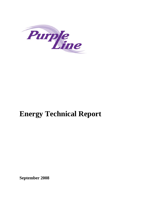

# **Energy Technical Report**

**September 2008**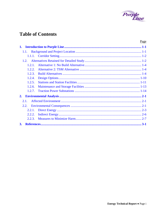

## **Table of Contents**

|        | Page     |
|--------|----------|
| 1.     |          |
| 1.1.   |          |
| 1.1.1. |          |
| 1.2.   |          |
| 1.2.1  |          |
| 1.2.2. |          |
| 1.2.3. |          |
| 1.2.4. |          |
| 1.2.5. |          |
| 1.2.6. |          |
| 1.2.7. |          |
| 2.     |          |
| 2.1    |          |
| 2.2.   |          |
| 2.2.1. |          |
| 2.2.2. |          |
| 2.2.3. |          |
| 3.     | $.3 - 1$ |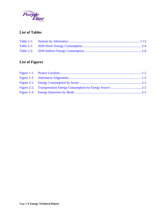

## **List of Tables**

## **List of Figures**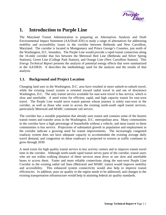

## <span id="page-4-0"></span>**1. Introduction to Purple Line**

The Maryland Transit Administration is preparing an Alternatives Analysis and Draft Environmental Impact Statement (AA/Draft EIS) to study a range of alternatives for addressing mobility and accessibility issues in the corridor between Bethesda and New Carrollton, Maryland. The corridor is located in Montgomery and Prince George's Counties, just north of the Washington, D.C. boundary. The Purple Line would provide a rapid transit connection along the 16-mile corridor that lies between the Metrorail Red Line (Bethesda and Silver Spring Stations), Green Line (College Park Station), and Orange Line (New Carrollton Station). This *Energy Technical Report* presents the analysis of potential energy effects that were summarized in the AA/DEIS. It describes the methodology used for the analysis and the results of that analysis.

#### **1.1. Background and Project Location**

Changing land uses in the Washington, D.C. area have resulted in more suburb-to-suburb travel, while the existing transit system is oriented toward radial travel in and out of downtown Washington, D.C. The only transit service available for east-west travel is bus service, which is slow and unreliable. A need exists for efficient, rapid, and high capacity transit for east-west travel. The Purple Line would serve transit patrons whose journey is solely east-west in the corridor, as well as those who want to access the existing north-south rapid transit services, particularly Metrorail and MARC commuter rail service.

The corridor has a sizeable population that already uses transit and contains some of the busiest transit routes and transfer areas in the Washington, D.C. metropolitan area. Many communities in the corridor have a high percentage of households without a vehicle, and most transit in these communities is bus service. Projections of substantial growth in population and employment in the corridor indicate a growing need for transit improvements. The increasingly congested roadway system does not have adequate capacity to accommodate the existing average daily travel demand, and congestion on these roadways is projected to worsen as traffic continues to grow through 2030.

A need exists for high quality transit service to key activity centers and to improve transit travel time in the corridor. Although north-south rapid transit serves parts of the corridor, transit users who are not within walking distance of these services must drive or use slow and unreliable buses to access them. Faster and more reliable connections along the east-west Purple Line Corridor to the existing radial rail lines (Metrorail and MARC trains) would improve mobility and accessibility. This enhanced system connectivity would also help to improve transit efficiencies. In addition, poor air quality in the region needs to be addressed, and changes to the existing transportation infrastructure would help in attaining federal air quality standards.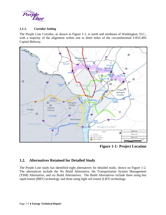<span id="page-5-0"></span>

#### *1.1.1. Corridor Setting*

The Purple Line Corridor, as shown in Figure 1-1, is north and northeast of Washington, D.C., with a majority of the alignment within one to three miles of the circumferential I-95/I-495 Capital Beltway.



**Figure 1-1: Project Location** 

#### **1.2. Alternatives Retained for Detailed Study**

The Purple Line study has identified eight alternatives for detailed study, shown on Figure 1-2. The alternatives include the No Build Alternative, the Transportation System Management (TSM) Alternative, and six Build Alternatives. The Build Alternatives include three using bus rapid transit (BRT) technology and three using light rail transit (LRT) technology.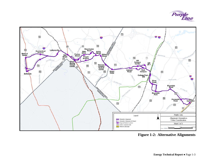

<span id="page-6-0"></span>

**Figure 1-2: Alternative Alignments**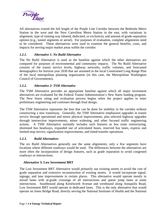<span id="page-7-0"></span>

All alternatives extend the full length of the Purple Line Corridor between the Bethesda Metro Station in the west and the New Carrollton Metro Station in the east, with variations in alignment, type of running way (shared, dedicated, or exclusive), and amount of grade-separation options (e.g., tunnel segments or aerial). For purposes of evaluation, complete alignments need to be considered. These alternatives were used to examine the general benefits, costs, and impacts for serving major market areas within the corridor.

#### *1.2.1. Alternative 1: No Build Alternative*

The No Build Alternative is used as the baseline against which the other alternatives are compared for purposes of environmental and community impacts. The No Build Alternative consists of the transit service levels, highway networks, traffic volumes, and forecasted demographics for horizon year 2030 that are assumed in the local Constrained Long Range Plan of the local metropolitan planning organization (in this case, the Metropolitan Washington Council of Governments).

#### *1.2.2. Alternative 2: TSM Alternative*

The TSM Alternative provides an appropriate baseline against which all major investment alternatives are evaluated for the Federal Transit Administration's New Starts funding program. The New Starts rating and evaluation process begins when the project applies to enter preliminary engineering and continues through final design.

The TSM Alternative represents the best that can be done for mobility in the corridor without constructing a new transitway. Generally, the TSM Alternative emphasizes upgrades in transit service through operational and minor physical improvements, plus selected highway upgrades through intersection improvements, minor widening, and other focused traffic engineering actions. A TSM Alternative normally includes such features as bus route restructuring, shortened bus headways, expanded use of articulated buses, reserved bus lanes, express and limited-stop service, signalization improvements, and timed-transfer operations.

#### *1.2.3. Build Alternatives*

The six Build Alternatives generally use the same alignments; only a few segments have locations where different roadways would be used. The differences between the alternatives are more often the incorporation of design features, such as grade separation to avoid congested roadways or intersections.

#### **Alternative 3: Low Investment BRT**

The Low Investment BRT Alternative would primarily use existing streets to avoid the cost of grade separation and extensive reconstruction of existing streets. It would incorporate signal, signage, and lane improvements in certain places. This alternative would operate mostly in mixed lanes with at-grade crossings of all intersections and queue jump lanes at some intersections. Southbound along Kenilworth Avenue and westbound along Annapolis Road, Low Investment BRT would operate in dedicated lanes. This is the only alternative that would operate on Jones Bridge Road, directly serving the National Institutes of Health and the National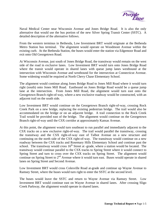

Naval Medical Center near Wisconsin Avenue and Jones Bridge Road. It is also the only alternative that would use the bus portion of the new Silver Spring Transit Center (SSTC). A detailed description of the alternative follows.

From the western terminus in Bethesda, Low Investment BRT would originate at the Bethesda Metro Station bus terminal. The alignment would operate on Woodmont Avenue within the existing curb. At the Bethesda Station, the buses would enter the station via Edgemoor Road and exit onto Old Georgetown Road.

At Wisconsin Avenue, just south of Jones Bridge Road, the transitway would remain on the west side of the road in exclusive lanes. Low Investment BRT would turn onto Jones Bridge Road where the transit would operate in shared lanes with queue jump lanes westbound at the intersection with Wisconsin Avenue and westbound for the intersection at Connecticut Avenue. Some widening would be required at North Chevy Chase Elementary School.

The alignment would continue along Jones Bridge Road to Jones Mill Road where it would turn right (south) onto Jones Mill Road. Eastbound on Jones Bridge Road would be a queue jump lane at the intersection. From Jones Mill Road, the alignment would turn east onto the Georgetown Branch right-of-way, where a new exclusive roadway would be constructed, with an adjacent trail on the south side.

Low Investment BRT would continue on the Georgetown Branch right-of-way, crossing Rock Creek Park on a new bridge, replacing the existing pedestrian bridge. The trail would also be accommodated on the bridge or on an adjacent bridge. A trail connection to the Rock Creek Trail would be provided east of the bridge. The alignment would continue on the Georgetown Branch right-of-way until the CSX corridor at approximately Kansas Avenue.

At this point, the alignment would turn southeast to run parallel and immediately adjacent to the CSX tracks on a new exclusive right-of-way. The trail would parallel the transitway, crossing the transitway and the CSX right-of-way east of Talbot Avenue on a new structure and continuing on the north side of the CSX right-of-way. The transitway would continue on a new roadway between the CSX tracks and Rosemary Hills Elementary School and continue past the school. The transitway would cross  $16<sup>th</sup>$  Street at -grade, where a station would be located. The transitway would continue parallel to the CSX tracks to Spring Street where it would connect to Spring Street and turn to cross over the CSX tracks on Spring Street. The alignment would continue on Spring Street to 2<sup>nd</sup> Avenue where it would turn east. Buses would operate in shared lanes on Spring Street and Second Avenue.

Low Investment BRT would cross Colesville Road at-grade and continue up Wayne Avenue to Ramsey Street, where the buses would turn right to enter the SSTC at the second level.

The buses would leave the SSTC and return to Wayne Avenue via Ramsey Street. Low Investment BRT would continue east on Wayne Avenue in shared lanes. After crossing Sligo Creek Parkway, the alignment would operate in shared lanes.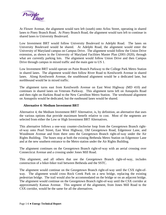

At Flower Avenue, the alignment would turn left (south) onto Arliss Street, operating in shared lanes to Piney Branch Road. At Piney Branch Road, the alignment would turn left to continue in shared lanes to University Boulevard.

Low Investment BRT would follow University Boulevard to Adelphi Road. The lanes on University Boulevard would be shared. At Adelphi Road, the alignment would enter the University of Maryland campus on Campus Drive. The alignment would follow the Union Drive extension, as shown in the University of Maryland Facilities Master Plan (2001-2020), through what are currently parking lots. The alignment would follow Union Drive and then Campus Drive through campus in mixed traffic and the main gate to US 1.

Low Investment BRT would operate on Paint Branch Parkway to the College Park Metro Station in shared lanes. The alignment would then follow River Road to Kenilworth Avenue in shared lanes. Along Kenilworth Avenue, the southbound alignment would be a dedicated lane, but northbound would be in mixed traffic.

The alignment turns east from Kenilworth Avenue on East West Highway (MD 410) and continues in shared lanes on Veterans Parkway. This alignment turns left on Annapolis Road and then right on Harkins Road to the New Carrollton Metro Station. The westbound alignment on Annapolis would be dedicated, but the eastbound lanes would be shared.

#### **Alternative 4: Medium Investment BRT**

Alternative 4, the Medium Investment BRT Alternative, is, by definition, an alternative that uses the various options that provide maximum benefit relative to cost. Most of the segments are selected from either the Low or High Investment BRT Alternatives.

This alternative follows a one-way counter-clockwise loop from the Georgetown Branch rightof-way onto Pearl Street, East West Highway, Old Georgetown Road, Edgemoor Lane, and Woodmont Avenue and from there onto the Georgetown Branch right-of-way under the Air Rights Building. The buses stop at both the existing Bethesda Metro Station on Edgemoor Lane and at the new southern entrance to the Metro station under the Air Rights Building.

The alignment continues on the Georgetown Branch right-of-way with an aerial crossing over Connecticut Avenue and a crossing under Jones Mill Road.

This alignment, and all others that use the Georgetown Branch right-of-way, includes construction of a hiker-biker trail between Bethesda and the SSTC.

The alignment would continue on the Georgetown Branch right-of-way until the CSX right-ofway. The alignment would cross Rock Creek Park on a new bridge, replacing the existing pedestrian bridge. The trail would also be accommodated on the bridge or on an adjacent bridge. The alignment would continue on the Georgetown Branch right-of-way until the CSX corridor at approximately Kansas Avenue. This segment of the alignment, from Jones Mill Road to the CSX corridor, would be the same for all the alternatives.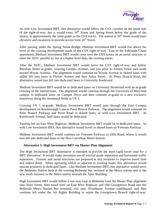

As with Low Investment BRT, this alternative would follow the CSX corridor on the south side of the right-of-way, but it would cross  $16<sup>th</sup>$  Street and Spring Street below the grade of the streets, at approximately the same grade as the CSX tracks. The station at  $16<sup>th</sup>$  Street would have elevators and escalators to provide access from  $16<sup>th</sup>$  Street.

After passing under the Spring Street Bridge, Medium Investment BRT would rise above the level of the existing development south of the CSX right-of-way. East of the Falklands Chase apartments, Medium Investment BRT would cross over the CSX tracks on an aerial structure to enter the SSTC parallel to, but at a higher level than, the existing tracks.

After the SSTC, Medium Investment BRT would leave the CSX right-of-way and follow Bonifant Street at-grade, crossing Georgia Avenue, and just prior to Fenton Street turn north toward Wayne Avenue. The alignment would continue on Wayne Avenue in shared lanes with added left turn lanes to Flower Avenue and then Arliss Street. At Piney Branch Road, the alternative would turn left into dedicated lanes to University Boulevard.

Medium Investment BRT would be in dedicated lanes on University Boulevard with an at-grade crossing of the intersections. The alignment would continue through the University of Maryland campus in dedicated lanes on Campus Drive and then continue at-grade in a new exclusive transitway along the intramural fields to US 1.

Crossing US 1 at-grade, Medium Investment BRT would pass through the East Campus development on Rossborough Lane to Paint Branch Parkway. The alignment would continue on Paint Branch Parkway and River Road in shared lanes, as with Low Investment BRT. At Kenilworth Avenue, both lanes would be dedicated.

Turning left on East West Highway, Medium Investment BRT would be in dedicated lanes. As with Low Investment BRT, this alternative would travel in shared lanes on Veterans Parkway.

Medium Investment BRT would continue on Veterans Parkway to Ellin Road, where it would turn left into dedicated lanes to the New Carrollton Metro Station.

#### **Alternative 5: High Investment BRT via Master Plan Alignment**

The High Investment BRT Alternative is intended to provide the most rapid travel time for a BRT alternative. It would make maximum use of vertical grade separation and horizontal traffic separation. Tunnels and aerial structures are proposed at key locations to improve travel time and reduce delay. When operating within or adjacent to existing roads, this alternative would operate primarily in dedicated lanes. Like Medium Investment BRT, this alternative would serve the Bethesda Station both at the existing Bethesda bus terminal at the Metro station and at the new south entrance to the Metro station beneath the Apex Building.

High Investment BRT would follow a one-way loop in Bethesda from the Master Plan alignment onto Pearl Street, then travel west on East West Highway and Old Georgetown Road into the Bethesda Metro Station bus terminal, exit onto Woodmont Avenue southbound, and then continue left under the Air Rights Building to rejoin the Georgetown Branch right-of-way.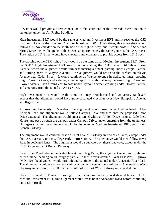

Elevators would provide a direct connection to the south end of the Bethesda Metro Station in the tunnel under the Air Rights Building.

High Investment BRT would be the same as Medium Investment BRT until it reaches the CSX corridor. As with the Low and Medium Investment BRT Alternatives, this alternative would follow the CSX corridor on the south side of the right-of-way, but it would cross  $16<sup>th</sup>$  Street and Spring Street below the grade of the streets, at approximately the same grade as the CSX tracks. The station at  $16<sup>th</sup>$  Street would have elevators and escalators to provide access from  $16<sup>th</sup>$  Street.

The crossing of the CSX right-of-way would be the same as for Medium Investment BRT. From the SSTC, High Investment BRT would continue along the CSX tracks until Silver Spring Avenue, where the alignment would turn east entering a tunnel, passing under Georgia Avenue, and turning north to Wayne Avenue. The alignment would return to the surface on Wayne Avenue near Cedar Street. It would continue on Wayne Avenue in dedicated lanes, crossing Sligo Creek Parkway, and entering a tunnel approximately half-way between Sligo Creek and Flower Avenue, then turning east to pass under Plymouth Street, crossing under Flower Avenue, and emerging from the tunnel on Arliss Street.

High Investment BRT would be the same on Piney Branch Road and University Boulevard except that the alignment would have grade-separated crossings over New Hampshire Avenue and Riggs Road.

Approaching University of Maryland, the alignment would cross under Adelphi Road. After Adelphi Road, the alignment would follow Campus Drive and turn onto the proposed Union Drive extended. The alignment would enter a tunnel while on Union Drive, prior to Cole Field House, and pass through the campus under Campus Drive. After emerging from the tunnel east of Regents Drive, the alignment would be the same as Medium Investment BRT, until Paint Branch Parkway.

The alignment would continue east on Paint Branch Parkway in dedicated lanes, except under the CSX overpass, to the College Park Metro Station. The alternative would then follow River Road in dedicated lanes. The alignment would be dedicated on these roadways, except under the CSX Bridge on Paint Branch Parkway.

From River Road (also in dedicated lanes) near Haig Drive, the alignment would turn right and enter a tunnel heading south, roughly parallel to Kenilworth Avenue. Near East West Highway (MD 410), the alignment would turn left and continue in the tunnel under Anacostia River Park. The alignment would transition to a surface alignment west of the Kenilworth Avenue/East West Highway intersection. The alternative would follow East West Highway in dedicated lanes.

High Investment BRT would turn right down Veterans Parkway in dedicated lanes. Unlike Medium Investment BRT, this alignment would cross under Annapolis Road before continuing on to Ellin Road.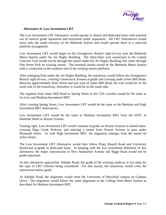

#### **Alternative 6: Low Investment LRT**

The Low Investment LRT Alternative would operate in shared and dedicated lanes with minimal use of vertical grade separation and horizontal traffic separation. All LRT Alternatives would serve only the south entrance of the Bethesda Station and would operate there in a stub-end platform arrangement.

Low Investment LRT would begin on the Georgetown Branch right-of-way near the Bethesda Metro Station under the Air Rights Building. The hiker-biker trail connection to the Capital Crescent Trail would not be through the tunnel under the Air Rights Building, but rather through Elm Street Park on existing streets. The terminal station would be the Bethesda Metro Station with a connection to the southern end of the existing station platform.

After emerging from under the Air Rights Building, the transitway would follow the Georgetown Branch right-of-way, crossing Connecticut Avenue at-grade and crossing under Jones Mill Road. Between approximately Pearl Street and just west of Jones Mill Road, the trail would be on the north side of the transitway; elsewhere it would be on the south side.

The segment from Jones Mill Road to Spring Street in the CSX corridor would be the same as for Low and Medium Investment BRT.

After crossing Spring Street, Low Investment LRT would be the same as the Medium and High Investment BRT Alternatives.

Low Investment LRT would be the same as Medium Investment BRT from the SSTC to Bonifant Street to Wayne Avenue.

Turning right, Low Investment LRT would continue at-grade on Wayne Avenue in shared lanes, crossing Sligo Creek Parkway and entering a tunnel from Wayne Avenue to pass under Plymouth Street. As with High Investment BRT, the alignment emerges from the tunnel on Arliss Street.

The Low Investment LRT Alternative would then follow Piney Branch Road and University Boulevard at-grade in dedicated lanes. In keeping with the low investment definition of this alternative, the major intersections of New Hampshire Avenue and Riggs Road would not be grade-separated.

As this alternative approaches Adelphi Road, the grade of the existing roadway is too steep for the type of LRT vehicles being considered. For this reason, the transitway would cross the intersection below grade.

At Adelphi Road, the alignment would enter the University of Maryland campus on Campus Drive. The alignment would follow the same alignment to the College Park Metro Station as described for Medium Investment BRT.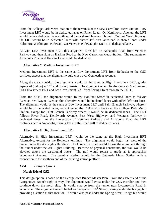<span id="page-13-0"></span>

From the College Park Metro Station to the terminus at the New Carrollton Metro Station, Low Investment LRT would be in dedicated lanes on River Road. On Kenilworth Avenue, the LRT would be in a dedicated lane southbound, but a shared lane northbound. On East West Highway, the LRT would be in dedicated lanes with shared left turn lanes and in shared lanes under Baltimore-Washington Parkway. On Veterans Parkway, the LRT is in dedicated lanes.

As with Low Investment BRT, this alignment turns left on Annapolis Road from Veterans Parkway and then right on Harkins Road to the New Carrollton Metro Station. The segments on Annapolis Road and Harkins Lane would be dedicated.

#### **Alternative 7: Medium Investment LRT**

Medium Investment LRT is the same as Low Investment LRT from Bethesda to the CSX corridor, except that the alignment would cross over Connecticut Avenue.

Along the CSX corridor, the alignment would be the same as High Investment BRT, gradeseparated (below) at 16<sup>th</sup> and Spring Streets. The alignment would be the same as Medium and High Investment BRT and Low Investment LRT from Spring Street through the SSTC.

From the SSTC, the alignment would follow Bonifant Street in dedicated lanes to Wayne Avenue. On Wayne Avenue, this alterative would be in shared lanes with added left turn lanes. The alignment would be the same as Low Investment LRT until Paint Branch Parkway, where it would be in dedicated lanes, except under the CSX/metro tracks at the College Park Metro Station, except for Paint Branch Parkway where it would be in dedicated lanes. The LRT follows River Road, Kenilworth Avenue, East West Highway, and Veterans Parkway in dedicated lanes. At the intersection of Veterans Parkway and Annapolis Road the LRT continues across Annapolis, turning left at Ellin Road still in dedicated lanes.

#### **Alternative 8: High Investment LRT**

Alternative 8, High Investment LRT, would be the same as the High Investment BRT Alternative, except for the Bethesda terminus. The alignment would begin just west of the tunnel under the Air Rights Building. The hiker-biker trail would follow the alignment through the tunnel under the Air Rights Building. Because of physical constraints, the trail would be elevated above the westbound tracks. The trail would return to grade as it approaches Woodmont Avenue. The terminal station would be the Bethesda Metro Station with a connection to the southern end of the existing station platform.

#### *1.2.4. Design Options*

#### **North Side of CSX**

This design option is based on the Georgetown Branch Master Plan. From the eastern end of the Georgetown Branch right-of-way, the alignment would cross under the CSX corridor and then continue down the north side. It would emerge from the tunnel near Lyttonsville Road in Woodside. The alignment would be below the grade of  $16<sup>th</sup>$  Street, passing under the bridge, but providing a station at that location. It would also pass under the Spring Street Bridge but would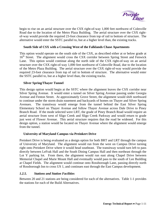

<span id="page-14-0"></span>begin to rise on an aerial structure over the CSX right-of-way 1,000 feet northwest of Colesville Road due to the location of the Metro Plaza Building. The aerial structure over the CSX rightof-way would provide the required 23-foot clearance from top of rail to bottom of structure. The alternative would enter the SSTC parallel to, but at a higher level than, the existing tracks.

#### **South Side of CSX with a Crossing West of the Falklands Chase Apartments**

This option would operate on the south side of the CSX, as described either at or below grade at 16<sup>th</sup> Street. The alignment would cross the CSX corridor between Spring Street and Fenwick Lane. This option would continue along the north side of the CSX right-of-way on an aerial structure over the CSX right-of-way 1,000 feet northwest of Colesville Road, due to the location of the Metro Plaza Building. The aerial structure over the CSX right-of-way would provide the required 23-foot clearance from top of rail to bottom of structure. The alternative would enter the SSTC parallel to, but at a higher level than, the existing tracks.

#### **Silver Spring/Thayer Tunnel**

This design option would begin at the SSTC where the alignment leaves the CSX corridor near Silver Spring Avenue. It would enter a tunnel on Silver Spring Avenue passing under Georgia Avenue and Fenton Street. At approximately Grove Street, the alignment would shift northward to continue under the storm drain easement and backyards of homes on Thayer and Silver Spring Avenues. The transitway would emerge from the tunnel behind the East Silver Spring Elementary School on Thayer Avenue and follow Thayer Avenue across Dale Drive to Piney Branch Road. If the mode selected were LRT, the grade of Piney Branch Road would require an aerial structure from west of Sligo Creek and Sligo Creek Parkway and would return to grade just west of Flower Avenue. This aerial structure requires that the road be widened. For this design option, a station would be located on Thayer Avenue where the alignment would emerge from the tunnel.

#### **University of Maryland Campus via Preinkert Drive**

Preinkert Drive is being evaluated as a design option for both BRT and LRT through the campus of University of Maryland. The alignment would run from the west on Campus Drive turning right onto Preinkert Drive where it would head southeast. The transitway would turn left to pass directly between LeFrak Hall and the South Dining Campus Hall and then northeast through the Lot Y parking lot. From there, the alignment would run east along Chapel Drive between Memorial Chapel and Marie Mount Hall and eventually would pass to the south of Lee Building at Chapel Fields. The alignment would continue onto Rossborough Lane, passing directly north of Rossborough Inn to cross US 1, and continues east through the East Campus development.

#### *1.2.5. Stations and Station Facilities*

Between 20 and 21 stations are being considered for each of the alternatives. Table 1-1 provides the stations for each of the Build Alternatives.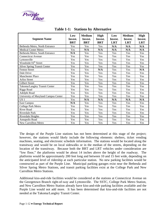<span id="page-15-0"></span>

| <b>Segment Name</b>                  | Low<br>Invest.<br><b>BRT</b> | <b>Medium</b><br>Invest.<br><b>BRT</b> | High<br>Invest.<br><b>BRT</b> | Low<br>Invest.<br><b>LRT</b> | <b>Medium</b><br>Invest.<br><b>LRT</b> | <b>High</b><br>Invest.<br><b>LRT</b> |
|--------------------------------------|------------------------------|----------------------------------------|-------------------------------|------------------------------|----------------------------------------|--------------------------------------|
| Bethesda Metro, North Entrance       | Yes                          | Yes                                    | Yes                           | N/A                          | N/A                                    | N/A                                  |
| <b>Medical Center Metro</b>          | Yes                          | N/A                                    | N/A                           | N/A                          | $\mathbf{N}/\mathbf{A}$                | $\mathbf{N}/\mathbf{A}$              |
| Bethesda Metro, South Entrance       | N/A                          | Yes                                    | Yes                           | <b>Yes</b>                   | Yes                                    | Yes                                  |
| <b>Connecticut Avenue</b>            | Yes                          | Yes                                    | Yes                           | Yes                          | Yes                                    | Yes                                  |
| Lyttonsville                         | Yes                          | Yes                                    | Yes                           | Yes                          | Yes                                    | Yes                                  |
| Woodside/16 <sup>th</sup> Street     | Yes                          | Yes                                    | Yes                           | Yes                          | Yes                                    | Yes                                  |
| <b>Silver Spring Transit Center</b>  | Yes                          | Yes                                    | Yes                           | Yes                          | Yes                                    | Yes                                  |
| <b>Fenton Street</b>                 | Yes                          | Yes                                    | N/A                           | Yes                          | Yes                                    | N/A                                  |
| Dale Drive                           | Yes                          | Yes                                    | Yes                           | Yes                          | Yes                                    | Yes                                  |
| <b>Manchester Place</b>              | Yes                          | Yes                                    | Yes                           | Yes                          | Yes                                    | Yes                                  |
| <b>Arliss Street</b>                 | Yes                          | Yes                                    | Yes                           | Yes                          | Yes                                    | Yes                                  |
| <b>Gilbert Street</b>                | Yes                          | Yes                                    | Yes                           | Yes                          | Yes                                    | Yes                                  |
| Takoma/Langley Transit Center        | Yes                          | Yes                                    | Yes                           | Yes                          | Yes                                    | Yes                                  |
| <b>Riggs Road</b>                    | Yes                          | Yes                                    | Yes                           | Yes                          | Yes                                    | Yes                                  |
| Adelphi Road                         | Yes                          | Yes                                    | Yes                           | Yes                          | Yes                                    | Yes                                  |
| University of Maryland Campus Center | Yes                          | Yes                                    | Yes                           | Yes                          | Yes                                    | Yes                                  |
| US <sub>1</sub>                      | Yes                          | N/A                                    | N/A                           | N/A                          | N/A                                    | N/A                                  |
| <b>East Campus</b>                   | N/A                          | Yes                                    | Yes                           | Yes                          | Yes                                    | Yes                                  |
| College Park Metro                   | Yes                          | Yes                                    | Yes                           | Yes                          | Yes                                    | Yes                                  |
| <b>River Road</b>                    | Yes                          | Yes                                    | Yes                           | Yes                          | Yes                                    | Yes                                  |
| Riverdale Park                       | Yes                          | Yes                                    | Yes                           | Yes                          | Yes                                    | Yes                                  |
| Riverdale Heights                    | Yes                          | Yes                                    | Yes                           | Yes                          | Yes                                    | Yes                                  |
| Annapolis Road                       | Yes                          | Yes                                    | Yes                           | Yes                          | Yes                                    | Yes                                  |
| New Carrollton Metro                 | Yes                          | Yes                                    | Yes                           | Yes                          | Yes                                    | Yes                                  |

#### **Table 1-1: Stations by Alternative**

The design of the Purple Line stations has not been determined at this stage of the project; however, the stations would likely include the following elements: shelters, ticket vending machines, seating, and electronic schedule information. The stations would be located along the transitway and would be on local sidewalks or in the median of the streets, depending on the location of the transitway. Because both the BRT and LRT vehicles under consideration are "low floor," the platforms would be about 14 inches above the height of the roadway. The platforms would be approximately 200 feet long and between 10 and 15 feet wide, depending on the anticipated level of ridership at each particular station. No new parking facilities would be constructed as part of the Purple Line. Municipal parking garages exist near the Bethesda and Silver Spring Metro Stations, and transit parking facilities exist at the College Park and New Carrollton Metro Stations.

Additional kiss-and-ride facilities would be considered at the stations at Connecticut Avenue on the Georgetown Branch right-of-way and Lyttonsville. The SSTC, College Park Metro Station, and New Carrollton Metro Station already have kiss-and-ride parking facilities available and the Purple Line would not add more. It has been determined that kiss-and-ride facilities are not needed at the Takoma/Langley Transit Center.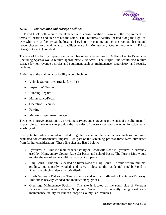

#### <span id="page-16-0"></span>*1.2.6. Maintenance and Storage Facilities*

LRT and BRT both require maintenance and storage facilities; however, the requirements in terms of location and size are not the same. LRT requires a facility located along the right-ofway while a BRT facility can be located elsewhere. Depending on the construction phasing and mode chosen, two maintenance facilities (one in Montgomery County and one in Prince George's County) are ideal.

The size of the facility depends on the number of vehicles required. A fleet of 40 to 45 vehicles (including Spares) would require approximately 20 acres. The Purple Line would also require storage for non-revenue vehicles and equipment such as: maintenance, supervisory, and security vehicles.

Activities at the maintenance facility would include:

- Vehicle Storage area (tracks for LRT)
- Inspection/Cleaning
- Running Repairs
- Maintenance/Repair
- Operations/Security
- Parking
- Materials/Equipment Storage

Two sites improve operations by providing services and storage near the ends of the alignment. It is possible to have one site provide the majority of the services and the other function as an auxiliary site.

Five potential sites were identified during the course of the alternatives analysis and were evaluated for environmental impacts. As part of the screening process three were eliminated from further consideration. These five sites are listed below:

- Lyttonsville This is a maintenance facility on Brookville Road in Lyttonsville, currently used by Montgomery County Ride On buses and school buses. The Purple Line would require the use of some additional adjacent property.
- Haig Court This site is located on River Road at Haig Court. It would require minimal grading, but is partly wooded, and is very close to the residential neighborhood of Riverdale which is also a historic district.
- North Veterans Parkway This site is located on the north side of Veterans Parkway. This site is heavily wooded and includes steep grades.
- Glenridge Maintenance Facility This site is located on the south side of Veterans Parkway near West Lanham Shopping Center. It is currently being used as a maintenance facility for Prince George's County Park vehicles.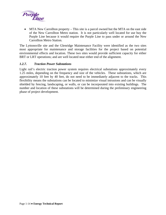<span id="page-17-0"></span>

• MTA New Carrollton property – This site is a parcel owned but the MTA on the east side of the New Carrollton Metro station. It is not particularly well located for use buy the Purple Line because it would require the Purple Line to pass under or around the New Carrollton Metro Station.

The Lyttonsville site and the Glenridge Maintenance Facility were identified as the two sites most appropriate for maintenance and storage facilities for the project based on potential environmental effects and location. These two sites would provide sufficient capacity for either BRT or LRT operations; and are well located near either end of the alignment.

#### *1.2.7. Traction Power Substations*

Light rail's electric traction power system requires electrical substations approximately every 1.25 miles, depending on the frequency and size of the vehicles. These substations, which are approximately 10 feet by 40 feet, do not need to be immediately adjacent to the tracks. This flexibility means the substations can be located to minimize visual intrusions and can be visually shielded by fencing, landscaping, or walls, or can be incorporated into existing buildings. The number and location of these substations will be determined during the preliminary engineering phase of project development.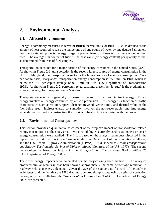

## <span id="page-18-0"></span>**2. Environmental Analysis**

#### **2.1. Affected Environment**

Energy is commonly measured in terms of British thermal units, or Btus. A Btu is defined as the amount of heat required to raise the temperature of one pound of water by one degree Fahrenheit. For transportation projects, energy usage is predominantly influenced by the amount of fuel used. The average Btu content of fuels is the heat value (or energy content) per quantity of fuel as determined from tests of fuel samples.

Transportation accounts for a major portion of the energy consumed in the United States (U.S.). As shown in Figure 2-1, transportation is the second largest source of energy consumption in the U.S. In Maryland, the transportation sector is the largest source of energy consumption. On a per capita basis, Maryland's transportation energy consumption is 75.3 million Btus, which is below the U.S. per capita average of 93.1 million Btus (U.S. Department of Transportation 1993). As shown in Figure 2-2, petroleum (e.g., gasoline, diesel fuel, jet fuel) is the predominant source of energy for transportation in Maryland.

Transportation energy is generally discussed in terms of direct and indirect energy. Direct energy involves all energy consumed by vehicle propulsion. This energy is a function of traffic characteristics such as volume, speed, distance traveled, vehicle mix, and thermal value of the fuel being used. Indirect energy consumption involves the non-recoverable, one-time energy expenditure involved in constructing the physical infrastructure associated with the project.

#### **2.2. Environmental Consequences**

This section provides a quantitative assessment of the project's impact on transportation-related energy consumption in the study area. Two methodologies currently used to estimate a project's energy consumption were applied. The first is based on the analysis techniques discussed in the report *Energy and Transportation Systems* (California Department of Transportation (Caltrans) and the U.S. Federal Highway Administration (FHWA), 1983), as well as *Urban Transportation and Energy: The Potential Savings of Different Modes* (Congress of the U.S. 1977). The second methodology is based on factors in the *Transportation Energy Data Book, Edition 26* (U.S. Department of Energy 2007).

The direct energy impacts were calculated for the project using both methods. The analyses produced similar results in that both showed approximately the same percentage reduction in roadway vehicular energy demand. Given the age of the source data for each of the analysis techniques, and the fact that the 1983 data must be brought up to date using a series of correction factors, only the results from the *Transportation Energy Data Book* (U.S. Department of Energy 2007) are presented.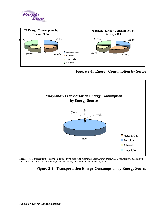<span id="page-19-0"></span>



**Figure 2-1: Energy Consumption by Sector** 



*Source: U.S. Department of Energy, Energy Information Administration, State Energy Data 2003 Consumption, Washington, DC: 2006. URL http://www.eia.doe.gov/emeu/states/\_states.html as of October 26, 2006.* 

#### **Figure 2-2: Transportation Energy Consumption by Energy Source**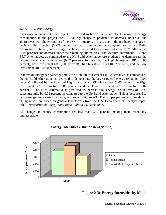

#### <span id="page-20-0"></span>*2.2.1. Direct Energy*

As shown in Table 2-1, the project is predicted to have little or no effect on overall energy consumption in the project area. Roadway energy is predicted to decrease under all the alternatives with the exception of the TSM Alternative. This is due to the predicted changes in vehicle miles traveled (VMT) under the build alternatives as compared to the No Build Alternative. Overall, total energy levels are predicted to increase under the TSM Alternative (0.04 percent) and decrease under the remaining alternatives. The Medium Investment LRT and BRT Alternatives, as compared to the No Build Alternative, are predicted to demonstrate the largest overall energy reduction (0.07 percent), followed by the High Investment BRT (0.05 percent), Low Investment LRT (0.03 percent), High Investment LRT (0.02 percent), and the Low Investment BRT (0.00 percent).

In terms of energy per passenger mile, the Medium Investment LRT Alternative, as compared to the No Build Alternative, is predicted to demonstrate the largest overall energy reduction (0.09 percent) followed by the Low and High Investment LRT Alternatives (0.07 percent) the High Investment BRT Alternative (0.06 percent) and the Low Investment BRT Alternative (0.02 percent). The TSM Alternative is predicted to increase total energy use in terms of Btus/ passenger mile by 0.02 percent, as compared to the No Build Alternative. This is because, Btu per passenger mile varies by mode, as shown in Figure 2-3. The Btu per passenger miles shown in Figure 2-3 are based on general load factors from the U.S. Department of Energy's report titled *Transportation Energy Data Book, Edition 26,* dated 2007.

All changes in energy consumption are less than 0.10 percent, making them essentially immeasurable.



**Figure 2-3: Energy Intensities by Mode**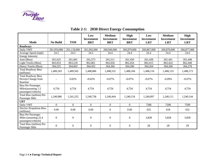

<span id="page-21-0"></span>

|                                                                           |                  |                | Low<br><b>Investment</b> | <b>Medium</b><br><b>Investment</b> | High<br><b>Investment</b> | Low<br><b>Investment</b> | <b>Medium</b><br><b>Investment</b> | High<br><b>Investment</b> |  |
|---------------------------------------------------------------------------|------------------|----------------|--------------------------|------------------------------------|---------------------------|--------------------------|------------------------------------|---------------------------|--|
| <b>Mode</b>                                                               | <b>No Build</b>  | <b>TSM</b>     | <b>BRT</b>               | <b>BRT</b>                         | <b>BRT</b>                | <b>LRT</b>               | <b>LRT</b>                         | <b>LRT</b>                |  |
| <b>Roadways</b>                                                           |                  |                |                          |                                    |                           |                          |                                    |                           |  |
| Daily VMT                                                                 | 261,054,000      | 261,110,000    | 261,002,000              | 260,940,000                        | 260,879,000               | 260,867,000              | 260,870,000                        | 260,877,000               |  |
| Average Speed (mph)                                                       | 24.5             | 24.5           | 24.5                     | 24.4                               | 24.4                      | 24.4                     | 24.4                               | 24.4                      |  |
| <b>Energy Intensity</b>                                                   |                  |                |                          |                                    |                           |                          |                                    |                           |  |
| Auto (Btus)                                                               | 261,625          | 261,681        | 261,573                  | 261,511                            | 261,450                   | 261,438                  | 261,441                            | 261,448                   |  |
| Light Trucks (Btus)                                                       | 863,033          | 863,218        | 862,861                  | 862,656                            | 862,454                   | 862,415                  | 862,424                            | 862,448                   |  |
| Heavy Trucks (Btus)                                                       | 364,525          | 364,603        | 364,452                  | 364,366                            | 364,280                   | 364,264                  | 364,268                            | 364,278                   |  |
| <b>Total Roadway Btus</b><br>(millions)                                   | 1,489,183        | 1,489,502      | 1,488,886                | 1,488,532                          | 1,488,184                 | 1,488,116                | 1,488,133                          | 1,488,173                 |  |
| <b>Total Roadway Btus</b><br>Percent Change from<br><b>Baseline</b>       |                  | 0.02%          | $-0.02%$                 | $-0.07%$                           | $-0.07\%$                 | $-0.07%$                 | $-0.09%$                           | $-0.07%$                  |  |
| <b>Btus Per Passenger</b><br>Miles(assuming 1.2<br>passengers/vehicle)    | 4,754            | 4,754          | 4,754                    | 4,754                              | 4,754                     | 4,754                    | 4,754                              | 4,754                     |  |
| Total Btus (million) Per<br>Passenger Mile                                | 1,240,986        | 1,241,252      | 1,240,738                | 1,240,444                          | 1,240,154                 | 1,240,097                | 1,240,111                          | 1,240,144                 |  |
| <b>LRT</b>                                                                |                  |                |                          |                                    |                           |                          |                                    |                           |  |
| Daily VMT                                                                 | $\Omega$         | $\overline{0}$ | $\Omega$                 | $\theta$                           | $\theta$                  | 7286                     | 7208                               | 7599                      |  |
| <b>Electric Propulsion Btus</b><br>(millions)                             | 0.00             | 0.00           | 0.00                     | $\boldsymbol{0}$                   | 0.00                      | 625                      | 618                                | 652                       |  |
| <b>Btus Per Passenger</b><br>Miles (assuming 22.4)<br>passengers/vehicle) | $\boldsymbol{0}$ | $\overline{0}$ | $\boldsymbol{0}$         | $\boldsymbol{0}$                   | $\boldsymbol{0}$          | 3,828                    | 3,828                              | 3,828                     |  |
| Total Btus (million) Per<br>Passenger Mile                                | $\boldsymbol{0}$ | $\overline{0}$ | $\boldsymbol{0}$         | $\overline{0}$                     | $\overline{0}$            | 28                       | 28                                 | 29                        |  |

## **Table 2-1: 2030 Direct Energy Consumption**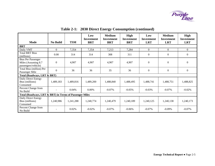

|                                                                          |                  |            | Low<br><b>Investment</b> | <b>Medium</b><br><b>Investment</b> | <b>High</b><br><b>Investment</b> | Low<br><b>Investment</b> | <b>Medium</b><br><b>Investment</b> | High<br><b>Investment</b> |  |
|--------------------------------------------------------------------------|------------------|------------|--------------------------|------------------------------------|----------------------------------|--------------------------|------------------------------------|---------------------------|--|
| Mode                                                                     | <b>No Build</b>  | <b>TSM</b> | <b>BRT</b>               | <b>BRT</b>                         | <b>BRT</b>                       | <b>LRT</b>               | <b>LRT</b>                         | <b>LRT</b>                |  |
| <b>BRT</b>                                                               |                  |            |                          |                                    |                                  |                          |                                    |                           |  |
| Daily VMT                                                                | $\overline{0}$   | 7,354      | 7,354                    | 7,213                              | 7,284                            | $\mathbf{0}$             | $\boldsymbol{0}$                   | $\boldsymbol{0}$          |  |
| <b>Total BRT Btus</b><br>(millions)                                      | 0.00             | 314        | 314                      | 308                                | 311                              | $\Omega$                 | $\Omega$                           | $\Omega$                  |  |
| <b>Btus Per Passenger</b><br>Miles (Assuming 8.7)<br>passengers/vehicle) | $\Omega$         | 4,907      | 4,907                    | 4,907                              | 4,907                            | $\mathbf{0}$             | $\mathbf{0}$                       | $\mathbf{0}$              |  |
| Total Btus (million) Per<br>Passenger Mile                               | $\boldsymbol{0}$ | 36         | 36                       | 35                                 | 36                               | $\mathbf{0}$             | $\theta$                           | $\overline{0}$            |  |
| Total (Roadways, LRT & BRT)                                              |                  |            |                          |                                    |                                  |                          |                                    |                           |  |
| Daily Direct Energy<br>Btus (millions)<br>Consumed                       | 1,489,183        | 1,489,816  | 1,489,200                | 1,488,840                          | 1,488,495                        | 1,488,741                | 1,488,751                          | 1,488,825                 |  |
| Percent Change from<br>No Build                                          |                  | 0.04%      | 0.00%                    | $-0.07%$                           | $-0.05%$                         | $-0.03\%$                | $-0.07\%$                          | $-0.02%$                  |  |
| Total (Roadways, LRT & BRT) in Terms of Passenger Miles                  |                  |            |                          |                                    |                                  |                          |                                    |                           |  |
| Daily Direct Energy<br>Btus (millions)<br>Consumed                       | 1,240,986        | 1,241,288  | 1,240,774                | 1,240,479                          | 1,240,189                        | 1,240,125                | 1,240,138                          | 1,240,173                 |  |
| Percent Change from<br>No Build                                          |                  | 0.02%      | $-0.02%$                 | $-0.07%$                           | $-0.06%$                         | $-0.07%$                 | $-0.09%$                           | $-0.07\%$                 |  |

## **Table 2-1: 2030 Direct Energy Consumption (continued)**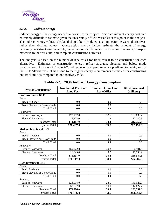<span id="page-23-0"></span>

#### *2.2.2. Indirect Energy*

Indirect energy is the energy needed to construct the project. Accurate indirect energy costs are extremely difficult to estimate given the uncertainty of field variables at this point in the analysis. The indirect energy values calculated should be considered as an indicator between alternatives, rather than absolute values. Construction energy factors estimate the amount of energy necessary to extract raw materials, manufacture and fabricate construction materials, transport materials to the work site, and complete construction activities.

The analysis is based on the number of lane miles (or track miles) to be constructed for each alternative. Estimates of construction energy reflect at-grade, elevated and below grade construction. As shown in Table 2-2, indirect energy expenditures are predicted to be highest for the LRT Alternatives. This is due to the higher energy requirements estimated for constructing one track mile as compared to one roadway mile.

| <b>Type of Construction</b>          | <b>Number of Track or</b><br><b>Lane Feet</b> | <b>Number of Track or</b><br><b>Lane Miles</b> | <b>Btus Consumed</b><br>(millions) |
|--------------------------------------|-----------------------------------------------|------------------------------------------------|------------------------------------|
| <b>Low Investment BRT</b>            |                                               |                                                |                                    |
| <b>Track</b>                         |                                               |                                                |                                    |
| <b>Track At-Grade</b>                | 0.0                                           | 0.0                                            | 0.0                                |
| <b>Track Elevated or Below Grade</b> | 0.0                                           | 0.0                                            | 0.0                                |
| <b>Track Total</b>                   | 0.0                                           | 0.0                                            | 0.0                                |
| Roadways                             |                                               |                                                |                                    |
| <b>Surface Roadways</b>              | 172,162.0c                                    | 32.6                                           | 195,638.7                          |
| <b>Elevated Roadways</b>             | 6,325.0                                       | 1.2                                            | 17,120.6                           |
| Roadway Total                        | 178,487.0                                     | 33.8                                           | 212,759.3                          |
| <b>System Total</b>                  | 178,487.0                                     | 33.8                                           | 212,759.3                          |
| <b>Medium Investment BRT</b>         |                                               |                                                |                                    |
| <b>Track</b>                         |                                               |                                                |                                    |
| <b>Track At-Grade</b>                | 0.0                                           | 0.0                                            | 0.0                                |
| <b>Track Elevated or Below Grade</b> | 0.0                                           | 0.0                                            | 0.0                                |
| <b>Track Total</b>                   | 0.0                                           | 0.0                                            | 0.0                                |
| Roadways                             |                                               |                                                |                                    |
| <b>Surface Roadways</b>              | 159,272.0                                     | 30.2                                           | 180,991.0                          |
| <b>Elevated Roadways</b>             | 16,845.0                                      | 3.2                                            | 45,596.4                           |
| Roadway Total                        | 176,117.0                                     | 33.4                                           | 226,587.3                          |
| <b>System Total</b>                  | 176,117.0                                     | 33.4                                           | 226,587.3                          |
| <b>High Investment BRT</b>           |                                               |                                                |                                    |
| <b>Track</b>                         |                                               |                                                |                                    |
| <b>Track At-Grade</b>                | 0.0                                           | 0.0                                            | 0.0                                |
| <b>Track Elevated or Below Grade</b> | 0.0                                           | 0.0                                            | 0.0                                |
| <b>Track Total</b>                   | 0.0                                           | 0.0                                            | 0.0                                |
| Roadways                             |                                               |                                                |                                    |
| <b>Surface Roadways</b>              | 124,014.0                                     | 23.5                                           | 140,925.0                          |
| <b>Elevated Roadways</b>             | 52,692.0                                      | 10.0                                           | 142,627.7                          |
| Roadway Total                        | 176,706.0                                     | 33.5                                           | 283,552.8                          |
| <b>System Total</b>                  | 176,706.0                                     | 33.5                                           | 283,552.8                          |

**Table 2-2: 2030 Indirect Energy Consumption**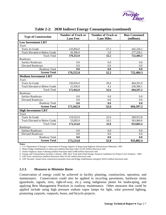

<span id="page-24-0"></span>

| <b>Type of Construction</b>          | <b>Number of Track or</b><br><b>Number of Track or</b><br><b>Lane Feet</b><br><b>Lane Miles</b> |      | <b>Btus Consumed</b><br>(millions) |  |
|--------------------------------------|-------------------------------------------------------------------------------------------------|------|------------------------------------|--|
| <b>Low Investment LRT</b>            |                                                                                                 |      |                                    |  |
| <b>Track</b>                         |                                                                                                 |      |                                    |  |
| <b>Track At-Grade</b>                | 143,856.0                                                                                       | 27.2 | 445,226.2                          |  |
| <b>Track Elevated or Below Grade</b> | 26,396.0                                                                                        | 5.0  | 277,258.1                          |  |
| <b>Track Total</b>                   | 170,252.0                                                                                       | 32.2 | 722,484.3                          |  |
| Roadways                             |                                                                                                 |      |                                    |  |
| <b>Surface Roadways</b>              | 0.0                                                                                             | 0.0  | 0.0                                |  |
| <b>Elevated Roadways</b>             | 0.0                                                                                             | 0.0  | 0.0                                |  |
| Roadway Total                        | 0.0                                                                                             | 0.0  | 0.0                                |  |
| <b>System Total</b>                  | 170,252.0                                                                                       | 32.2 | 722,484.3                          |  |
| <b>Medium Investment LRT</b>         |                                                                                                 |      |                                    |  |
| <b>Track</b>                         |                                                                                                 |      |                                    |  |
| <b>Track At-Grade</b>                | 150,016.0                                                                                       | 28.4 | 464,291.0                          |  |
| <b>Track Elevated or Below Grade</b> | 21,926.0                                                                                        | 4.2  | 230,306.1                          |  |
| <b>Track Total</b>                   | 171,942.0                                                                                       | 32.6 | 694,597.2                          |  |
| Roadways                             |                                                                                                 |      |                                    |  |
| <b>Surface Roadways</b>              | 0.0                                                                                             | 0.0  | 0.0                                |  |
| Elevated Roadways                    | 0.0                                                                                             | 0.0  | 0.0                                |  |
| Roadway Total                        | 0.0                                                                                             | 0.0  | 0.0                                |  |
| <b>System Total</b>                  | 171,942.0                                                                                       | 32.6 | 694,597.2                          |  |
| <b>High Investment LRT</b>           |                                                                                                 |      |                                    |  |
| <b>Track</b>                         |                                                                                                 |      |                                    |  |
| <b>Track At-Grade</b>                | 119,522.0                                                                                       | 22.6 | 369,913.8                          |  |
| <b>Track Elevated or Below Grade</b> | 53,692.0                                                                                        | 10.2 | 563,969.6                          |  |
| <b>Track Total</b>                   | 173,214.0                                                                                       | 32.8 | 933,883.4                          |  |
| Roadways                             |                                                                                                 |      |                                    |  |
| <b>Surface Roadways</b>              | 0.0                                                                                             | 0.0  | 0.0                                |  |
| <b>Elevated Roadways</b>             | 0.0                                                                                             | 0.0  | 0.0                                |  |
| Roadway Total                        | 0.0                                                                                             | 0.0  | 0.0                                |  |
| <b>System Total</b>                  | 173,214.0                                                                                       | 32.8 | 933,883.4                          |  |

#### **Table 2-2: 2030 Indirect Energy Consumption (continued)**

**Notes:** 

1. U.S. Department of Energy's Assessment of Energy Impacts of Improving Highway-Infrastructure Materials, 1995

2. Minor bridge rehabilitation in urban area (million btus/lane-mile) 14,292 million btus/track mile

3. Surface highway major widening (million btus/lane-mile) 6,000 million btus/track mile

4. Energy and Transportation Systems, Caltrans, 1983; New York State Draft Energy Analysis Guidelines for Project Level Analysis - 2003

5. LRT track construction (million btus/track mile) 16,341 million btus/track mile

6. LRT elevated / tunnel track construction (assumes track and bridge rehabilitation energies) 30,633 million btus/track mile

#### *2.2.3. Measures to Minimize Harm*

Conservation of energy could be achieved in facility planning, construction, operation, and maintenance. Conservation could also be applied to recycling pavements, hardware items (guardrails, signals, tires, right-of-way, etc.), using indigenous plants for landscaping, and applying Best Management Practices in roadway maintenance. Other measures that could be applied include using high pressure sodium vapor lamps for light, solar powered lighting, promoting carpools, vanpools, buses, and bicycle projects.